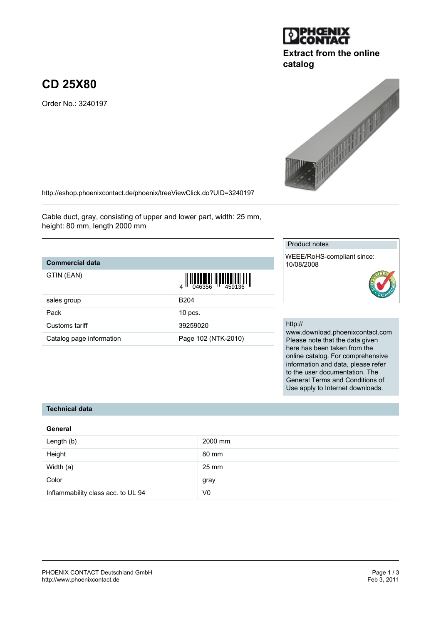#### PHOENIX CONTACT Deutschland GmbH<br>
http://www.phoenixcontact.de<br>
Feb 3, 2011 <http://www.phoenixcontact.de>

<http://eshop.phoenixcontact.de/phoenix/treeViewClick.do?UID=3240197>

Cable duct, gray, consisting of upper and lower part, width: 25 mm, height: 80 mm, length 2000 mm

### **Commercial data**

**CD 25X80**

| GTIN (EAN)               | $\left\  \prod_{0.46356} \left\  \prod_{459136} \right\  \right\ $ |
|--------------------------|--------------------------------------------------------------------|
| sales group              | B <sub>204</sub>                                                   |
| Pack                     | $10$ pcs.                                                          |
| Customs tariff           | 39259020                                                           |
| Catalog page information | Page 102 (NTK-2010)                                                |

Product notes

10/08/2008

WEEE/RoHS-compliant since:

http://

www.download.phoenixcontact.com Please note that the data given here has been taken from the online catalog. For comprehensive information and data, please refer to the user documentation. The General Terms and Conditions of Use apply to Internet downloads.

#### **Technical data**

#### **General**

| Length (b)                         | 2000 mm        |
|------------------------------------|----------------|
| Height                             | 80 mm          |
| Width (a)                          | 25 mm          |
| Color                              | gray           |
| Inflammability class acc. to UL 94 | V <sub>0</sub> |



# **Extract from the online catalog**



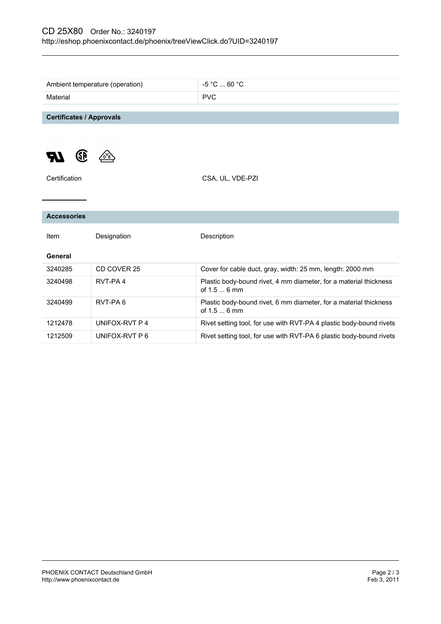| Ambient temperature (operation) | $-5$ °C $\dots$ 60 °C                                                             |
|---------------------------------|-----------------------------------------------------------------------------------|
| Material                        | <b>PVC</b>                                                                        |
|                                 |                                                                                   |
| <b>Certificates / Approvals</b> |                                                                                   |
| <b>GE</b>                       |                                                                                   |
| Certification                   | CSA, UL, VDE-PZI                                                                  |
|                                 |                                                                                   |
|                                 |                                                                                   |
| <b>Accessories</b>              |                                                                                   |
| Designation<br>Item             | Description                                                                       |
| General                         |                                                                                   |
| CD COVER 25<br>3240285          | Cover for cable duct, gray, width: 25 mm, length: 2000 mm                         |
| RVT-PA4<br>3240498              | Plastic body-bound rivet, 4 mm diameter, for a material thickness<br>of 1.5  6 mm |
| RVT-PA6<br>3240499              | Plastic body-bound rivet, 6 mm diameter, for a material thickness<br>of 1.5  6 mm |
| UNIFOX-RVT P 4<br>1212478       | Rivet setting tool, for use with RVT-PA 4 plastic body-bound rivets               |
| 1212509<br>UNIFOX-RVT P 6       | Rivet setting tool, for use with RVT-PA 6 plastic body-bound rivets               |